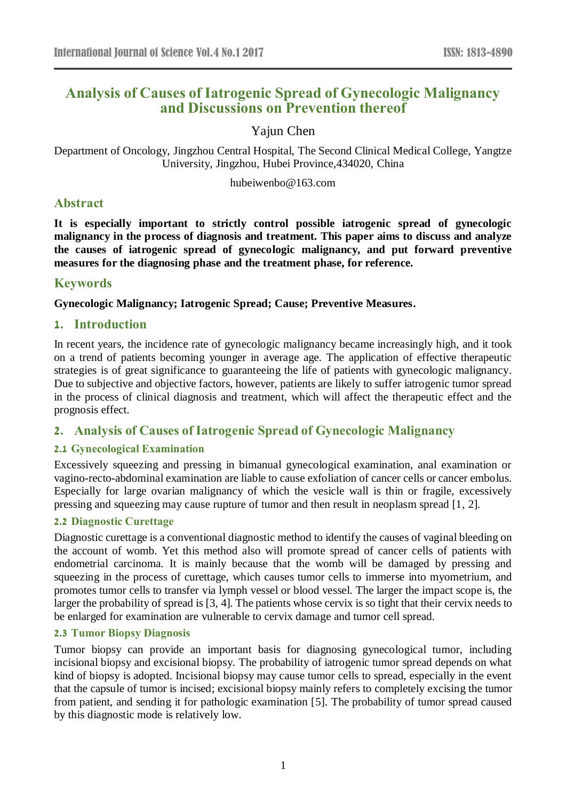# **Analysis of Causes of Iatrogenic Spread of Gynecologic Malignancy and Discussions on Prevention thereof**

# Yajun Chen

Department of Oncology, Jingzhou Central Hospital, The Second Clinical Medical College, Yangtze University, Jingzhou, Hubei Province,434020, China

hubeiwenbo@163.com

# **Abstract**

**It is especially important to strictly control possible iatrogenic spread of gynecologic malignancy in the process of diagnosis and treatment. This paper aims to discuss and analyze the causes of iatrogenic spread of gynecologic malignancy, and put forward preventive measures for the diagnosing phase and the treatment phase, for reference.**

## **Keywords**

**Gynecologic Malignancy; Iatrogenic Spread; Cause; Preventive Measures.**

# **1. Introduction**

In recent years, the incidence rate of gynecologic malignancy became increasingly high, and it took on a trend of patients becoming younger in average age. The application of effective therapeutic strategies is of great significance to guaranteeing the life of patients with gynecologic malignancy. Due to subjective and objective factors, however, patients are likely to suffer iatrogenic tumor spread in the process of clinical diagnosis and treatment, which will affect the therapeutic effect and the prognosis effect.

# **2. Analysis of Causes of Iatrogenic Spread of Gynecologic Malignancy**

## **2.1 Gynecological Examination**

Excessively squeezing and pressing in bimanual gynecological examination, anal examination or vagino-recto-abdominal examination are liable to cause exfoliation of cancer cells or cancer embolus. Especially for large ovarian malignancy of which the vesicle wall is thin or fragile, excessively pressing and squeezing may cause rupture of tumor and then result in neoplasm spread [1, 2].

## **2.2 Diagnostic Curettage**

Diagnostic curettage is a conventional diagnostic method to identify the causes of vaginal bleeding on the account of womb. Yet this method also will promote spread of cancer cells of patients with endometrial carcinoma. It is mainly because that the womb will be damaged by pressing and squeezing in the process of curettage, which causes tumor cells to immerse into myometrium, and promotes tumor cells to transfer via lymph vessel or blood vessel. The larger the impact scope is, the larger the probability of spread is [3, 4]. The patients whose cervix is so tight that their cervix needs to be enlarged for examination are vulnerable to cervix damage and tumor cell spread.

## **2.3 Tumor Biopsy Diagnosis**

Tumor biopsy can provide an important basis for diagnosing gynecological tumor, including incisional biopsy and excisional biopsy. The probability of iatrogenic tumor spread depends on what kind of biopsy is adopted. Incisional biopsy may cause tumor cells to spread, especially in the event that the capsule of tumor is incised; excisional biopsy mainly refers to completely excising the tumor from patient, and sending it for pathologic examination [5]. The probability of tumor spread caused by this diagnostic mode is relatively low.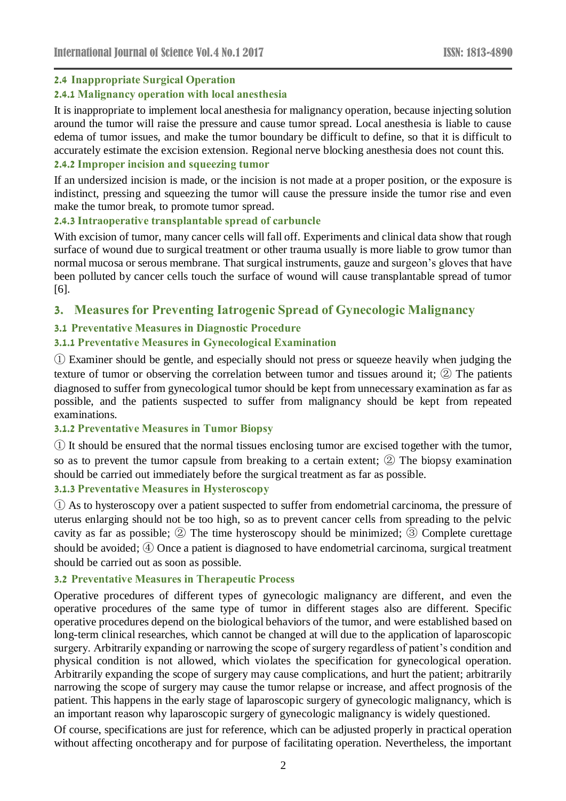### **2.4 Inappropriate Surgical Operation**

#### **2.4.1 Malignancy operation with local anesthesia**

It is inappropriate to implement local anesthesia for malignancy operation, because injecting solution around the tumor will raise the pressure and cause tumor spread. Local anesthesia is liable to cause edema of tumor issues, and make the tumor boundary be difficult to define, so that it is difficult to accurately estimate the excision extension. Regional nerve blocking anesthesia does not count this.

## **2.4.2 Improper incision and squeezing tumor**

If an undersized incision is made, or the incision is not made at a proper position, or the exposure is indistinct, pressing and squeezing the tumor will cause the pressure inside the tumor rise and even make the tumor break, to promote tumor spread.

### **2.4.3 Intraoperative transplantable spread of carbuncle**

With excision of tumor, many cancer cells will fall off. Experiments and clinical data show that rough surface of wound due to surgical treatment or other trauma usually is more liable to grow tumor than normal mucosa or serous membrane. That surgical instruments, gauze and surgeon's gloves that have been polluted by cancer cells touch the surface of wound will cause transplantable spread of tumor [6].

# **3. Measures for Preventing Iatrogenic Spread of Gynecologic Malignancy**

### **3.1 Preventative Measures in Diagnostic Procedure**

## **3.1.1 Preventative Measures in Gynecological Examination**

① Examiner should be gentle, and especially should not press or squeeze heavily when judging the texture of tumor or observing the correlation between tumor and tissues around it; ② The patients diagnosed to suffer from gynecological tumor should be kept from unnecessary examination as far as possible, and the patients suspected to suffer from malignancy should be kept from repeated examinations.

#### **3.1.2 Preventative Measures in Tumor Biopsy**

① It should be ensured that the normal tissues enclosing tumor are excised together with the tumor, so as to prevent the tumor capsule from breaking to a certain extent; ② The biopsy examination should be carried out immediately before the surgical treatment as far as possible.

### **3.1.3 Preventative Measures in Hysteroscopy**

① As to hysteroscopy over a patient suspected to suffer from endometrial carcinoma, the pressure of uterus enlarging should not be too high, so as to prevent cancer cells from spreading to the pelvic cavity as far as possible; ② The time hysteroscopy should be minimized; ③ Complete curettage should be avoided; ① Once a patient is diagnosed to have endometrial carcinoma, surgical treatment should be carried out as soon as possible.

### **3.2 Preventative Measures in Therapeutic Process**

Operative procedures of different types of gynecologic malignancy are different, and even the operative procedures of the same type of tumor in different stages also are different. Specific operative procedures depend on the biological behaviors of the tumor, and were established based on long-term clinical researches, which cannot be changed at will due to the application of laparoscopic surgery. Arbitrarily expanding or narrowing the scope of surgery regardless of patient's condition and physical condition is not allowed, which violates the specification for gynecological operation. Arbitrarily expanding the scope of surgery may cause complications, and hurt the patient; arbitrarily narrowing the scope of surgery may cause the tumor relapse or increase, and affect prognosis of the patient. This happens in the early stage of laparoscopic surgery of gynecologic malignancy, which is an important reason why laparoscopic surgery of gynecologic malignancy is widely questioned.

Of course, specifications are just for reference, which can be adjusted properly in practical operation without affecting oncotherapy and for purpose of facilitating operation. Nevertheless, the important